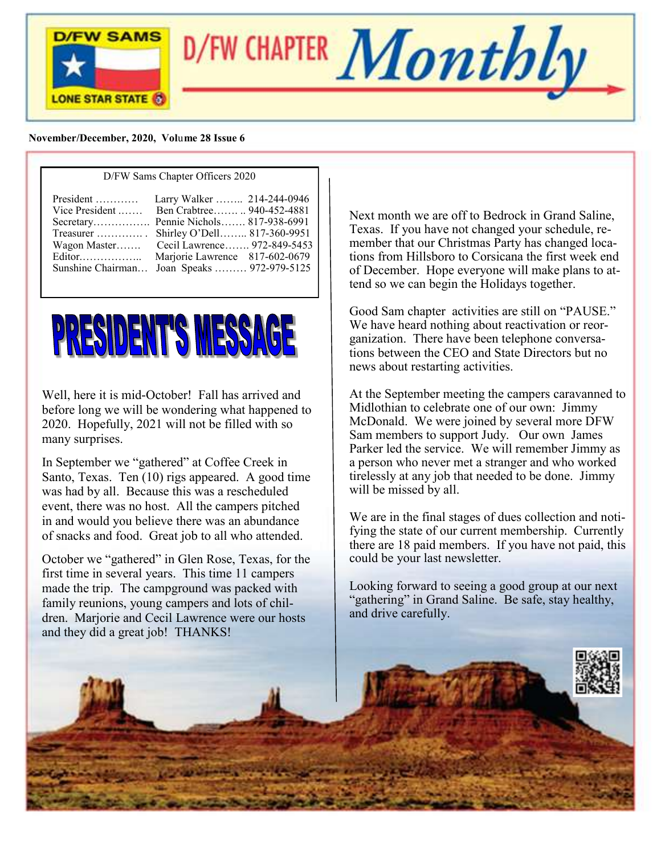

D/FW CHAPTER  $\boldsymbol{Monthly}$ 

#### **November/December, 2020, Vol**u**me 28 Issue 6**

#### D/FW Sams Chapter Officers 2020

| $President$<br>Editor | Larry Walker  214-244-0946<br>Vice President  Ben Crabtree  940-452-4881<br>Secretary Pennie Nichols 817-938-6991<br>Treasurer  Shirley O'Dell 817-360-9951<br>Wagon Master Cecil Lawrence 972-849-5453<br>Marjorie Lawrence 817-602-0679 |
|-----------------------|-------------------------------------------------------------------------------------------------------------------------------------------------------------------------------------------------------------------------------------------|
|                       | Sunshine Chairman Joan Speaks  972-979-5125                                                                                                                                                                                               |



Well, here it is mid-October! Fall has arrived and before long we will be wondering what happened to 2020. Hopefully, 2021 will not be filled with so many surprises.

In September we "gathered" at Coffee Creek in Santo, Texas. Ten (10) rigs appeared. A good time was had by all. Because this was a rescheduled event, there was no host. All the campers pitched in and would you believe there was an abundance of snacks and food. Great job to all who attended.

October we "gathered" in Glen Rose, Texas, for the first time in several years. This time 11 campers made the trip. The campground was packed with family reunions, young campers and lots of children. Marjorie and Cecil Lawrence were our hosts and they did a great job! THANKS!

Next month we are off to Bedrock in Grand Saline, Texas. If you have not changed your schedule, remember that our Christmas Party has changed locations from Hillsboro to Corsicana the first week end of December. Hope everyone will make plans to attend so we can begin the Holidays together.

Good Sam chapter activities are still on "PAUSE." We have heard nothing about reactivation or reorganization. There have been telephone conversations between the CEO and State Directors but no news about restarting activities.

At the September meeting the campers caravanned to Midlothian to celebrate one of our own: Jimmy McDonald. We were joined by several more DFW Sam members to support Judy. Our own James Parker led the service. We will remember Jimmy as a person who never met a stranger and who worked tirelessly at any job that needed to be done. Jimmy will be missed by all.

We are in the final stages of dues collection and notifying the state of our current membership. Currently there are 18 paid members. If you have not paid, this could be your last newsletter.

Looking forward to seeing a good group at our next "gathering" in Grand Saline. Be safe, stay healthy, and drive carefully.

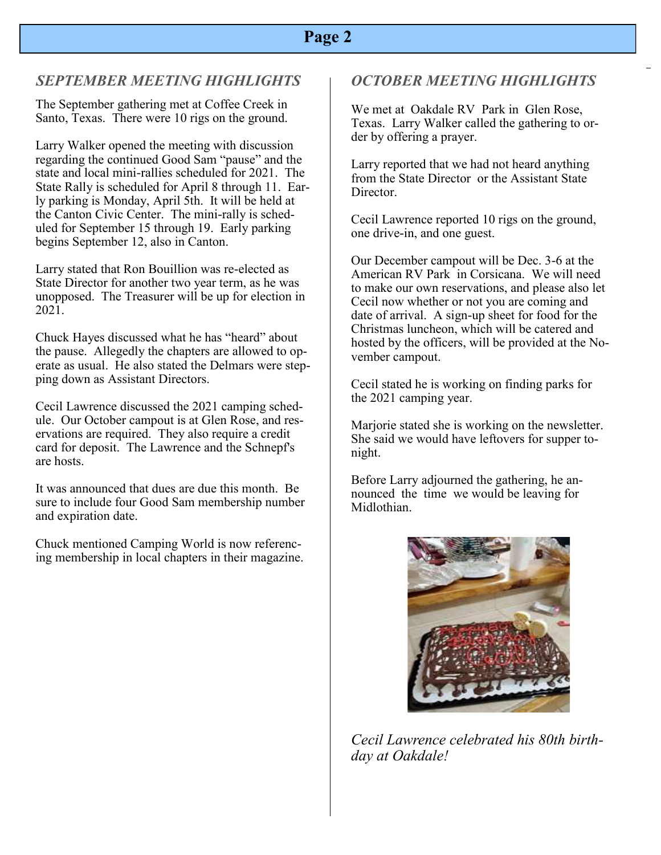### *SEPTEMBER MEETING HIGHLIGHTS*

The September gathering met at Coffee Creek in Santo, Texas. There were 10 rigs on the ground.

Larry Walker opened the meeting with discussion regarding the continued Good Sam "pause" and the state and local mini-rallies scheduled for 2021. The State Rally is scheduled for April 8 through 11. Early parking is Monday, April 5th. It will be held at the Canton Civic Center. The mini-rally is scheduled for September 15 through 19. Early parking begins September 12, also in Canton.

Larry stated that Ron Bouillion was re-elected as State Director for another two year term, as he was unopposed. The Treasurer will be up for election in 2021.

Chuck Hayes discussed what he has "heard" about the pause. Allegedly the chapters are allowed to operate as usual. He also stated the Delmars were stepping down as Assistant Directors.

Cecil Lawrence discussed the 2021 camping schedule. Our October campout is at Glen Rose, and reservations are required. They also require a credit card for deposit. The Lawrence and the Schnepf's are hosts.

It was announced that dues are due this month. Be sure to include four Good Sam membership number and expiration date.

Chuck mentioned Camping World is now referencing membership in local chapters in their magazine.

#### *OCTOBER MEETING HIGHLIGHTS*

 der by offering a prayer. We met at Oakdale RV Park in Glen Rose, Texas. Larry Walker called the gathering to or-

Larry reported that we had not heard anything from the State Director or the Assistant State Director.

Cecil Lawrence reported 10 rigs on the ground, one drive-in, and one guest.

Our December campout will be Dec. 3-6 at the American RV Park in Corsicana. We will need to make our own reservations, and please also let Cecil now whether or not you are coming and date of arrival. A sign-up sheet for food for the Christmas luncheon, which will be catered and hosted by the officers, will be provided at the November campout.

Cecil stated he is working on finding parks for the 2021 camping year.

Marjorie stated she is working on the newsletter. She said we would have leftovers for supper tonight.

Before Larry adjourned the gathering, he announced the time we would be leaving for Midlothian.



*Cecil Lawrence celebrated his 80th birthday at Oakdale!*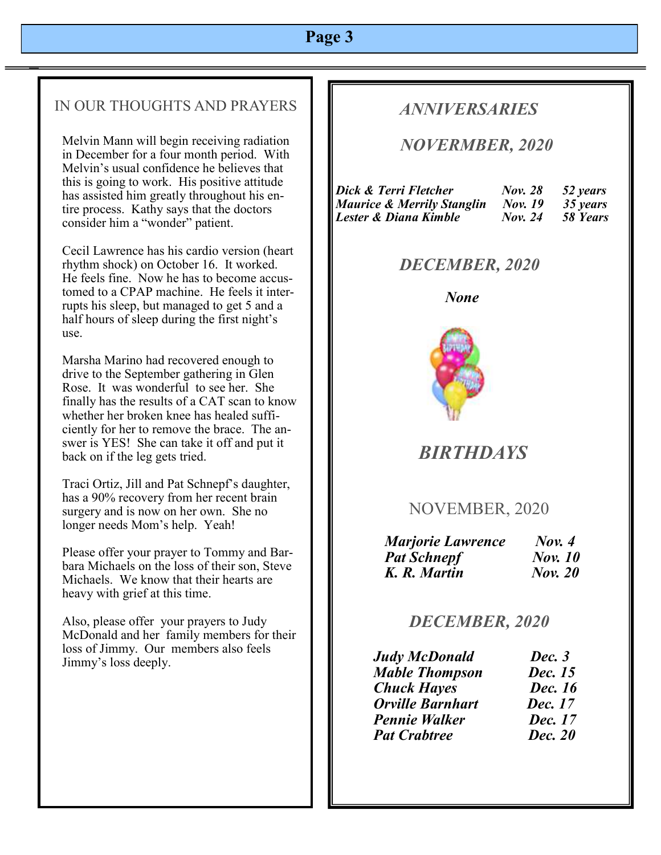### IN OUR THOUGHTS AND PRAYERS

Melvin Mann will begin receiving radiation in December for a four month period. With Melvin's usual confidence he believes that this is going to work. His positive attitude has assisted him greatly throughout his entire process. Kathy says that the doctors consider him a "wonder" patient.

Cecil Lawrence has his cardio version (heart rhythm shock) on October 16. It worked. He feels fine. Now he has to become accustomed to a CPAP machine. He feels it interrupts his sleep, but managed to get 5 and a half hours of sleep during the first night's use.

Marsha Marino had recovered enough to drive to the September gathering in Glen Rose. It was wonderful to see her. She finally has the results of a CAT scan to know whether her broken knee has healed sufficiently for her to remove the brace. The answer is YES! She can take it off and put it back on if the leg gets tried.

Traci Ortiz, Jill and Pat Schnepf's daughter, has a 90% recovery from her recent brain surgery and is now on her own. She no longer needs Mom's help. Yeah!

Please offer your prayer to Tommy and Barbara Michaels on the loss of their son, Steve Michaels. We know that their hearts are heavy with grief at this time.

Also, please offer your prayers to Judy McDonald and her family members for their loss of Jimmy. Our members also feels Jimmy's loss deeply.

## *ANNIVERSARIES*

### *NOVERMBER, 2020*

| Dick & Terri Fletcher      | <b>Nov. 28</b> | 52 years |
|----------------------------|----------------|----------|
| Maurice & Merrily Stanglin | <b>Nov.</b> 19 | 35 years |
| Lester & Diana Kimble      | <b>Nov.</b> 24 | 58 Years |

## *DECEMBER, 2020*

#### *None*



# *BIRTHDAYS*

## NOVEMBER, 2020

| <b>Marjorie Lawrence</b> | Now. 4         |
|--------------------------|----------------|
| <b>Pat Schnepf</b>       | <b>Nov.</b> 10 |
| K. R. Martin             | <b>Nov. 20</b> |

## *DECEMBER, 2020*

| <b>Judy McDonald</b>    | Dec. 3         |
|-------------------------|----------------|
| <b>Mable Thompson</b>   | Dec. 15        |
| <b>Chuck Hayes</b>      | Dec. 16        |
| <b>Orville Barnhart</b> | Dec. 17        |
| <b>Pennie Walker</b>    | Dec. 17        |
| <b>Pat Crabtree</b>     | <b>Dec. 20</b> |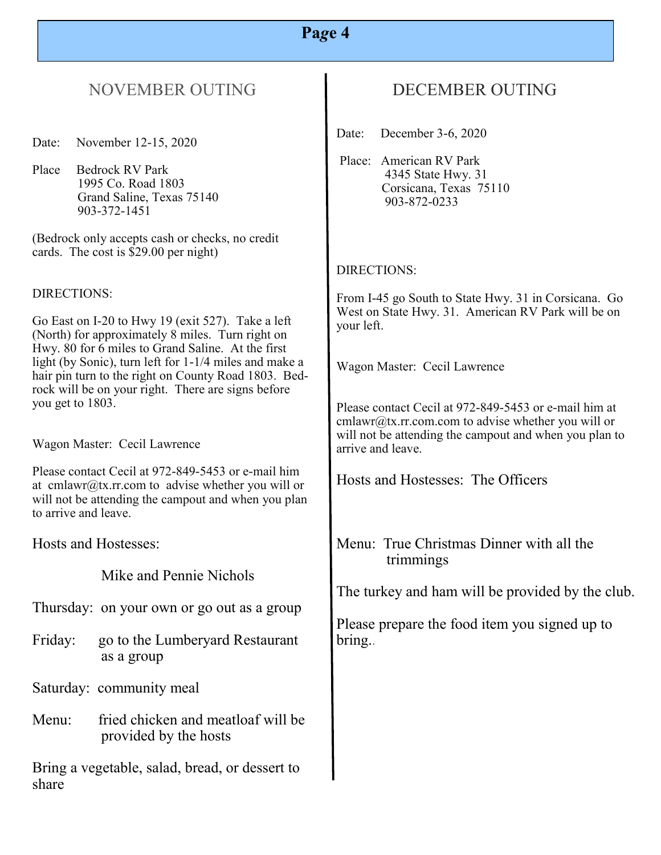# NOVEMBER OUTING

Date: November 12-15, 2020

Place Bedrock RV Park 1995 Co. Road 1803 Grand Saline, Texas 75140 903-372-1451

(Bedrock only accepts cash or checks, no credit cards. The cost is \$29.00 per night)

#### DIRECTIONS:

Go East on I-20 to Hwy 19 (exit 527). Take a left (North) for approximately 8 miles. Turn right on Hwy. 80 for 6 miles to Grand Saline. At the first light (by Sonic), turn left for 1-1/4 miles and make a hair pin turn to the right on County Road 1803. Bedrock will be on your right. There are signs before you get to 1803.

Wagon Master: Cecil Lawrence

Please contact Cecil at 972-849-5453 or e-mail him at cmlawr@tx.rr.com to advise whether you will or will not be attending the campout and when you plan to arrive and leave.

Hosts and Hostesses:

Mike and Pennie Nichols

Thursday: on your own or go out as a group

Friday: go to the Lumberyard Restaurant as a group

Saturday: community meal

Menu: fried chicken and meatloaf will be provided by the hosts

Bring a vegetable, salad, bread, or dessert to share

## DECEMBER OUTING

Date: December 3-6, 2020

Place: American RV Park 4345 State Hwy. 31 Corsicana, Texas 75110 903-872-0233

#### DIRECTIONS:

From I-45 go South to State Hwy. 31 in Corsicana. Go West on State Hwy. 31. American RV Park will be on your left.

Wagon Master: Cecil Lawrence

Please contact Cecil at 972-849-5453 or e-mail him at cmlawr@tx.rr.com.com to advise whether you will or will not be attending the campout and when you plan to arrive and leave.

Hosts and Hostesses: The Officers

Menu: True Christmas Dinner with all the trimmings

The turkey and ham will be provided by the club.

Please prepare the food item you signed up to bring..